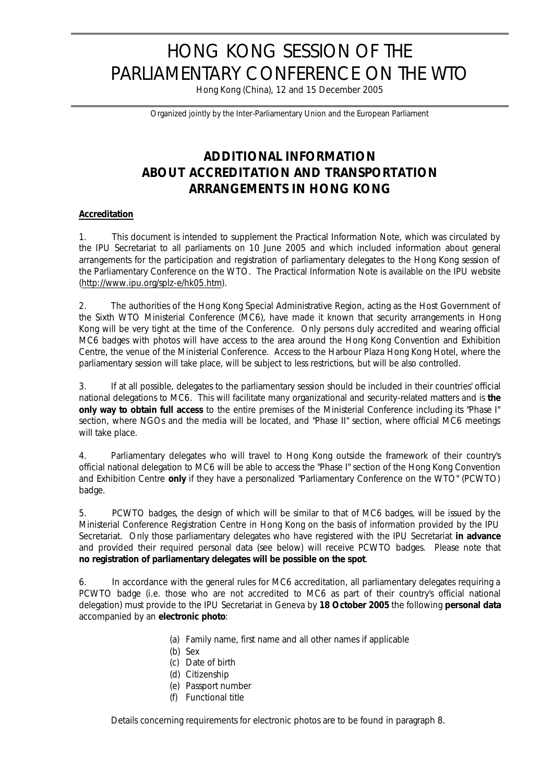# HONG KONG SESSION OF THE PARLIAMENTARY CONFERENCE ON THE WTO

Hong Kong (China), 12 and 15 December 2005

*Organized jointly by the Inter-Parliamentary Union and the European Parliament*

# **ADDITIONAL INFORMATION ABOUT ACCREDITATION AND TRANSPORTATION ARRANGEMENTS IN HONG KONG**

#### **Accreditation**

1. This document is intended to supplement the Practical Information Note, which was circulated by the IPU Secretariat to all parliaments on 10 June 2005 and which included information about general arrangements for the participation and registration of parliamentary delegates to the Hong Kong session of the Parliamentary Conference on the WTO. The Practical Information Note is available on the IPU website (http://www.ipu.org/splz-e/hk05.htm).

2. The authorities of the Hong Kong Special Administrative Region, acting as the Host Government of the Sixth WTO Ministerial Conference (MC6), have made it known that security arrangements in Hong Kong will be very tight at the time of the Conference. Only persons duly accredited and wearing official MC6 badges with photos will have access to the area around the Hong Kong Convention and Exhibition Centre, the venue of the Ministerial Conference. Access to the Harbour Plaza Hong Kong Hotel, where the parliamentary session will take place, will be subject to less restrictions, but will be also controlled.

3. If at all possible, delegates to the parliamentary session should be included in their countries' official national delegations to MC6. This will facilitate many organizational and security-related matters and is **the only way to obtain full access** to the entire premises of the Ministerial Conference including its "Phase I" section, where NGOs and the media will be located, and "Phase II" section, where official MC6 meetings will take place.

4. Parliamentary delegates who will travel to Hong Kong outside the framework of their country's official national delegation to MC6 will be able to access the "Phase I" section of the Hong Kong Convention and Exhibition Centre **only** if they have a personalized "Parliamentary Conference on the WTO" (PCWTO) badge.

5. PCWTO badges, the design of which will be similar to that of MC6 badges, will be issued by the Ministerial Conference Registration Centre in Hong Kong on the basis of information provided by the IPU Secretariat. Only those parliamentary delegates who have registered with the IPU Secretariat **in advance** and provided their required personal data (see below) will receive PCWTO badges. Please note that **no registration of parliamentary delegates will be possible on the spot**.

6. In accordance with the general rules for MC6 accreditation, all parliamentary delegates requiring a PCWTO badge (i.e. those who are not accredited to MC6 as part of their country's official national delegation) must provide to the IPU Secretariat in Geneva by **18 October 2005** the following **personal data** accompanied by an **electronic photo**:

- (a) Family name, first name and all other names if applicable
- (b) Sex
- (c) Date of birth
- (d) Citizenship
- (e) Passport number
- (f) Functional title

Details concerning requirements for electronic photos are to be found in paragraph 8.